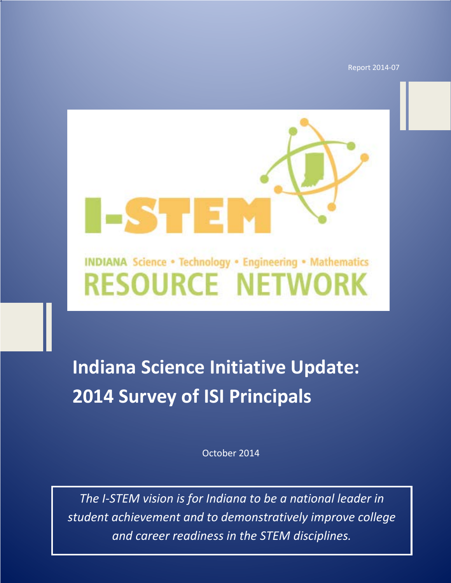Report 2014-07

## **INDIANA Science . Technology . Engineering . Mathematics RESOURCE NETWORK**

ESTEL

## **Indiana Science Initiative Update: 2014 Survey of ISI Principals**

October 2014

1 *and career readiness in the STEM disciplines.The I-STEM vision is for Indiana to be a national leader in student achievement and to demonstratively improve college*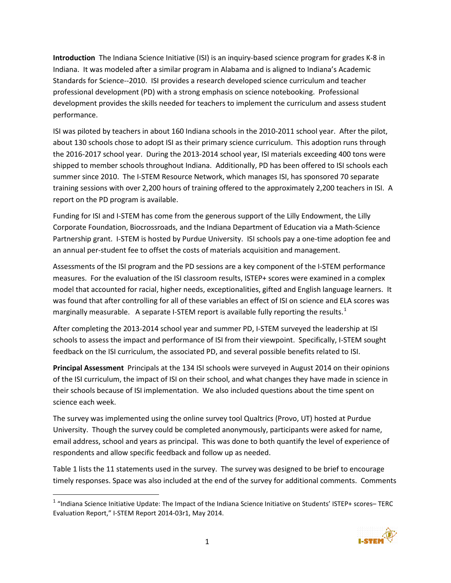**Introduction** The Indiana Science Initiative (ISI) is an inquiry-based science program for grades K-8 in Indiana. It was modeled after a similar program in Alabama and is aligned to Indiana's Academic Standards for Science--2010. ISI provides a research developed science curriculum and teacher professional development (PD) with a strong emphasis on science notebooking. Professional development provides the skills needed for teachers to implement the curriculum and assess student performance.

ISI was piloted by teachers in about 160 Indiana schools in the 2010-2011 school year. After the pilot, about 130 schools chose to adopt ISI as their primary science curriculum. This adoption runs through the 2016-2017 school year. During the 2013-2014 school year, ISI materials exceeding 400 tons were shipped to member schools throughout Indiana. Additionally, PD has been offered to ISI schools each summer since 2010. The I-STEM Resource Network, which manages ISI, has sponsored 70 separate training sessions with over 2,200 hours of training offered to the approximately 2,200 teachers in ISI. A report on the PD program is available.

Funding for ISI and I-STEM has come from the generous support of the Lilly Endowment, the Lilly Corporate Foundation, Biocrossroads, and the Indiana Department of Education via a Math-Science Partnership grant. I-STEM is hosted by Purdue University. ISI schools pay a one-time adoption fee and an annual per-student fee to offset the costs of materials acquisition and management.

Assessments of the ISI program and the PD sessions are a key component of the I-STEM performance measures. For the evaluation of the ISI classroom results, ISTEP+ scores were examined in a complex model that accounted for racial, higher needs, exceptionalities, gifted and English language learners. It was found that after controlling for all of these variables an effect of ISI on science and ELA scores was marginally measurable. A separate I-STEM report is available fully reporting the results.<sup>[1](#page-2-0)</sup>

After completing the 2013-2014 school year and summer PD, I-STEM surveyed the leadership at ISI schools to assess the impact and performance of ISI from their viewpoint. Specifically, I-STEM sought feedback on the ISI curriculum, the associated PD, and several possible benefits related to ISI.

**Principal Assessment** Principals at the 134 ISI schools were surveyed in August 2014 on their opinions of the ISI curriculum, the impact of ISI on their school, and what changes they have made in science in their schools because of ISI implementation. We also included questions about the time spent on science each week.

The survey was implemented using the online survey tool Qualtrics (Provo, UT) hosted at Purdue University. Though the survey could be completed anonymously, participants were asked for name, email address, school and years as principal. This was done to both quantify the level of experience of respondents and allow specific feedback and follow up as needed.

Table 1 lists the 11 statements used in the survey. The survey was designed to be brief to encourage timely responses. Space was also included at the end of the survey for additional comments. Comments

<span id="page-2-0"></span> $1$  "Indiana Science Initiative Update: The Impact of the Indiana Science Initiative on Students' ISTEP+ scores– TERC Evaluation Report," I-STEM Report 2014-03r1, May 2014.

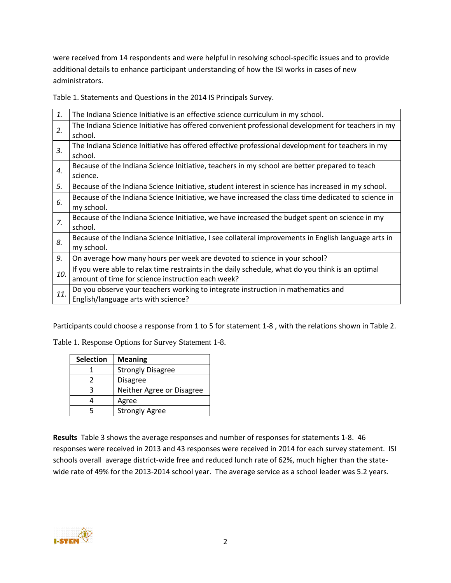were received from 14 respondents and were helpful in resolving school-specific issues and to provide additional details to enhance participant understanding of how the ISI works in cases of new administrators.

Table 1. Statements and Questions in the 2014 IS Principals Survey.

| 1.          | The Indiana Science Initiative is an effective science curriculum in my school.                                                                       |
|-------------|-------------------------------------------------------------------------------------------------------------------------------------------------------|
| 2.          | The Indiana Science Initiative has offered convenient professional development for teachers in my<br>school.                                          |
| 3.          | The Indiana Science Initiative has offered effective professional development for teachers in my<br>school.                                           |
| 4.          | Because of the Indiana Science Initiative, teachers in my school are better prepared to teach<br>science.                                             |
| 5.          | Because of the Indiana Science Initiative, student interest in science has increased in my school.                                                    |
| 6.          | Because of the Indiana Science Initiative, we have increased the class time dedicated to science in<br>my school.                                     |
| $Z_{\cdot}$ | Because of the Indiana Science Initiative, we have increased the budget spent on science in my<br>school.                                             |
| 8.          | Because of the Indiana Science Initiative, I see collateral improvements in English language arts in<br>my school.                                    |
| 9.          | On average how many hours per week are devoted to science in your school?                                                                             |
| 10.         | If you were able to relax time restraints in the daily schedule, what do you think is an optimal<br>amount of time for science instruction each week? |
| 11.         | Do you observe your teachers working to integrate instruction in mathematics and<br>English/language arts with science?                               |

Participants could choose a response from 1 to 5 for statement 1-8 , with the relations shown in Table 2.

Table 1. Response Options for Survey Statement 1-8.

| <b>Selection</b> | <b>Meaning</b>            |
|------------------|---------------------------|
|                  | <b>Strongly Disagree</b>  |
| 7                | <b>Disagree</b>           |
| R                | Neither Agree or Disagree |
|                  | Agree                     |
|                  | <b>Strongly Agree</b>     |

**Results** Table 3 shows the average responses and number of responses for statements 1-8. 46 responses were received in 2013 and 43 responses were received in 2014 for each survey statement. ISI schools overall average district-wide free and reduced lunch rate of 62%, much higher than the statewide rate of 49% for the 2013-2014 school year. The average service as a school leader was 5.2 years.

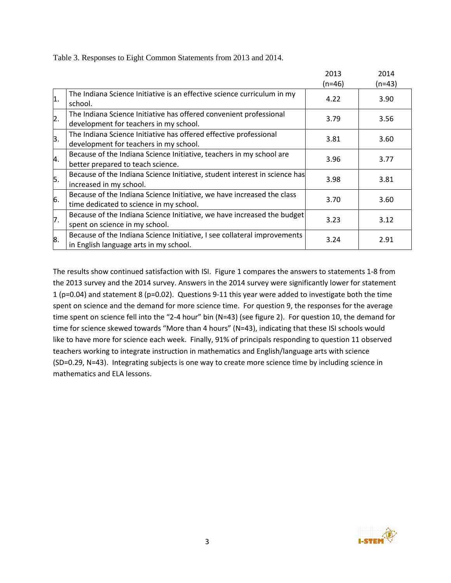Table 3. Responses to Eight Common Statements from 2013 and 2014.

|                  |                                                                                                                    | 2013<br>$(n=46)$ | 2014<br>$(n=43)$ |
|------------------|--------------------------------------------------------------------------------------------------------------------|------------------|------------------|
| $\vert$ 1.       | The Indiana Science Initiative is an effective science curriculum in my<br>school.                                 | 4.22             | 3.90             |
| $\overline{2}$ . | The Indiana Science Initiative has offered convenient professional<br>development for teachers in my school.       | 3.79             | 3.56             |
| $\mathsf{B}.$    | The Indiana Science Initiative has offered effective professional<br>development for teachers in my school.        | 3.81             | 3.60             |
| 4.               | Because of the Indiana Science Initiative, teachers in my school are<br>better prepared to teach science.          | 3.96             | 3.77             |
| 5.               | Because of the Indiana Science Initiative, student interest in science has<br>increased in my school.              | 3.98             | 3.81             |
| 6.               | Because of the Indiana Science Initiative, we have increased the class<br>time dedicated to science in my school.  | 3.70             | 3.60             |
| 7.               | Because of the Indiana Science Initiative, we have increased the budget<br>spent on science in my school.          | 3.23             | 3.12             |
| 8.               | Because of the Indiana Science Initiative, I see collateral improvements<br>in English language arts in my school. | 3.24             | 2.91             |

The results show continued satisfaction with ISI. Figure 1 compares the answers to statements 1-8 from the 2013 survey and the 2014 survey. Answers in the 2014 survey were significantly lower for statement 1 (p=0.04) and statement 8 (p=0.02). Questions 9-11 this year were added to investigate both the time spent on science and the demand for more science time. For question 9, the responses for the average time spent on science fell into the "2-4 hour" bin (N=43) (see figure 2). For question 10, the demand for time for science skewed towards "More than 4 hours" (N=43), indicating that these ISI schools would like to have more for science each week. Finally, 91% of principals responding to question 11 observed teachers working to integrate instruction in mathematics and English/language arts with science (SD=0.29, N=43). Integrating subjects is one way to create more science time by including science in mathematics and ELA lessons.

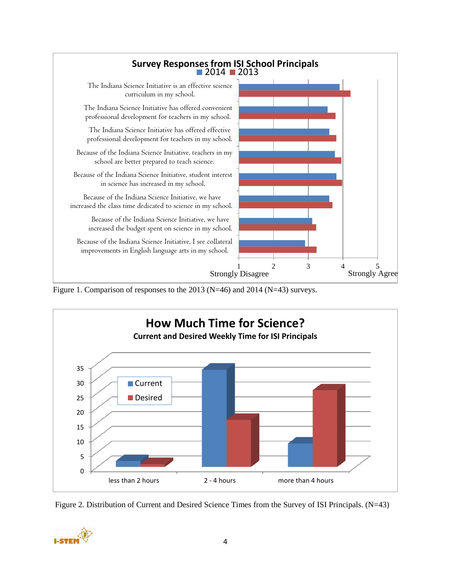

Figure 1. Comparison of responses to the 2013 (N=46) and 2014 (N=43) surveys.





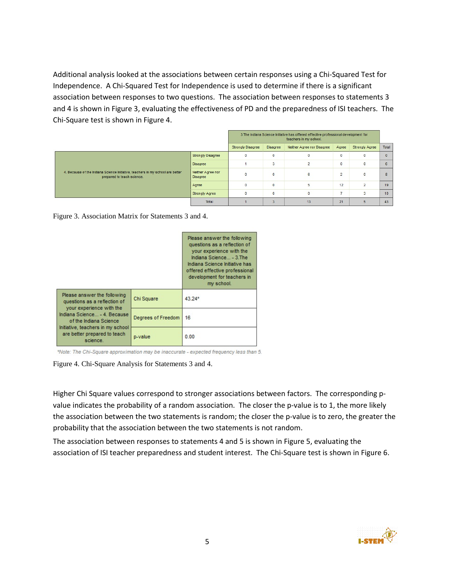Additional analysis looked at the associations between certain responses using a Chi-Squared Test for Independence. A Chi-Squared Test for Independence is used to determine if there is a significant association between responses to two questions. The association between responses to statements 3 and 4 is shown in Figure 3, evaluating the effectiveness of PD and the preparedness of ISI teachers. The Chi-Square test is shown in Figure 4.

|                                                                                                              |                               | 3. The Indiana Science Initiative has offered effective professional development for<br>teachers in my school. |              |                            |                |                       |          |
|--------------------------------------------------------------------------------------------------------------|-------------------------------|----------------------------------------------------------------------------------------------------------------|--------------|----------------------------|----------------|-----------------------|----------|
|                                                                                                              |                               | <b>Strongly Disagree</b>                                                                                       | Disagree     | Neither Agree nor Disagree | Agree          | <b>Strongly Agree</b> | Total    |
|                                                                                                              | <b>Strongly Disagree</b>      | $\mathbf 0$                                                                                                    | $\bf{0}$     | $\mathbf 0$                | $\mathbf 0$    |                       | $\Omega$ |
|                                                                                                              | Disagree                      |                                                                                                                | 3            | $\overline{2}$             | $\mathbf 0$    |                       | 6        |
| 4. Because of the Indiana Science Initiative, teachers in my school are better<br>prepared to teach science. | Neither Agree nor<br>Disagree | $\overline{0}$                                                                                                 | $\mathbf{0}$ | 6                          | $\overline{2}$ |                       | 8        |
|                                                                                                              | Agree                         | $\mathbf 0$                                                                                                    | $\mathbf{0}$ | 5                          | 12             | $\overline{2}$        | 19       |
|                                                                                                              | <b>Strongly Agree</b>         | $\mathbf 0$                                                                                                    | $\bf{0}$     | $\mathbf{0}$               | -              | 3                     | 10       |
|                                                                                                              | Total                         |                                                                                                                | 3            | 13                         | 21             |                       | 43       |

Figure 3. Association Matrix for Statements 3 and 4.

|                                                                                         | Please answer the following<br>questions as a reflection of<br>your experience with the<br>Indiana Science - 3. The<br>Indiana Science Initiative has<br>offered effective professional<br>development for teachers in<br>my school. |          |
|-----------------------------------------------------------------------------------------|--------------------------------------------------------------------------------------------------------------------------------------------------------------------------------------------------------------------------------------|----------|
| Please answer the following<br>questions as a reflection of<br>your experience with the | Chi Square                                                                                                                                                                                                                           | $43.24*$ |
| Indiana Science - 4. Because<br>of the Indiana Science                                  | Degrees of Freedom                                                                                                                                                                                                                   | 16       |
| Initiative, teachers in my school<br>are better prepared to teach<br>science.           | p-value                                                                                                                                                                                                                              | 0.00     |

\*Note: The Chi-Square approximation may be inaccurate - expected frequency less than 5.

Figure 4. Chi-Square Analysis for Statements 3 and 4.

Higher Chi Square values correspond to stronger associations between factors. The corresponding pvalue indicates the probability of a random association. The closer the p-value is to 1, the more likely the association between the two statements is random; the closer the p-value is to zero, the greater the probability that the association between the two statements is not random.

The association between responses to statements 4 and 5 is shown in Figure 5, evaluating the association of ISI teacher preparedness and student interest. The Chi-Square test is shown in Figure 6.

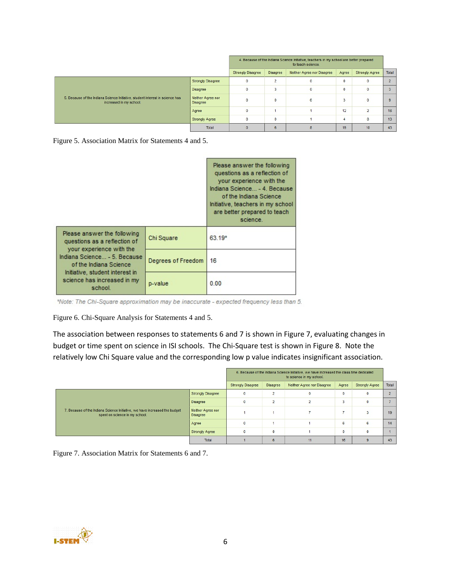|                                                                                                          |                                      | 4. Because of the Indiana Science Initiative, teachers in my school are better prepared<br>to teach science. |                         |                            |          |                       |                |
|----------------------------------------------------------------------------------------------------------|--------------------------------------|--------------------------------------------------------------------------------------------------------------|-------------------------|----------------------------|----------|-----------------------|----------------|
|                                                                                                          |                                      | <b>Strongly Disagree</b>                                                                                     | Disagree                | Neither Agree nor Disagree | Agree    | <b>Strongly Agree</b> | Total          |
|                                                                                                          | <b>Strongly Disagree</b>             |                                                                                                              | $\overline{2}$          | $\mathbf{0}$               | $\Omega$ | $\mathbf{0}$          | $\overline{ }$ |
|                                                                                                          | <b>Disagree</b>                      | $\mathbf{0}$                                                                                                 | $\overline{\mathbf{3}}$ | $\mathbf{0}$               | $\bf{0}$ | $\mathbf{0}$          |                |
| 5. Because of the Indiana Science Initiative, student interest in science has<br>increased in my school. | Neither Agree nor<br><b>Disagree</b> |                                                                                                              | $\mathbf{0}$            | 6                          | 3        | $\bf{0}$              | $\Omega$       |
|                                                                                                          | Agree                                | $\mathbf{0}$                                                                                                 |                         |                            | 12       | $\overline{2}$        | 16             |
|                                                                                                          | <b>Strongly Agree</b>                |                                                                                                              | $\mathbf{0}$            |                            |          | 8                     | 13             |
|                                                                                                          | Total                                |                                                                                                              | 6                       |                            | 19       | 10                    | 43             |

Figure 5. Association Matrix for Statements 4 and 5.

|                                                                                         |                    | Please answer the following<br>questions as a reflection of<br>your experience with the<br>Indiana Science - 4. Because<br>of the Indiana Science<br>Initiative, teachers in my school<br>are better prepared to teach<br>science. |
|-----------------------------------------------------------------------------------------|--------------------|------------------------------------------------------------------------------------------------------------------------------------------------------------------------------------------------------------------------------------|
| Please answer the following<br>questions as a reflection of<br>your experience with the | Chi Square         | $63.19*$                                                                                                                                                                                                                           |
| Indiana Science - 5. Because<br>of the Indiana Science                                  | Degrees of Freedom | 16                                                                                                                                                                                                                                 |
| Initiative, student interest in<br>science has increased in my<br>school.               | p-value            | 0.00                                                                                                                                                                                                                               |

\*Note: The Chi-Square approximation may be inaccurate - expected frequency less than 5.

Figure 6. Chi-Square Analysis for Statements 4 and 5.

The association between responses to statements 6 and 7 is shown in Figure 7, evaluating changes in budget or time spent on science in ISI schools. The Chi-Square test is shown in Figure 8. Note the relatively low Chi Square value and the corresponding low p value indicates insignificant association.

|                                                                                                              |                                      |                          |                 | 6. Because of the Indiana Science Initiative, we have increased the class time dedicated<br>to science in my school. |              |                       |       |
|--------------------------------------------------------------------------------------------------------------|--------------------------------------|--------------------------|-----------------|----------------------------------------------------------------------------------------------------------------------|--------------|-----------------------|-------|
|                                                                                                              |                                      | <b>Strongly Disagree</b> | <b>Disagree</b> | Neither Agree nor Disagree                                                                                           | Agree        | <b>Strongly Agree</b> | Total |
| 7. Because of the Indiana Science Initiative, we have increased the budget<br>spent on science in my school. | <b>Strongly Disagree</b>             |                          | $\overline{2}$  | $\mathbf{0}$                                                                                                         | $\mathbf{0}$ | $\mathbf 0$           |       |
|                                                                                                              | <b>Disagree</b>                      | $\mathbf{0}$             | $\overline{2}$  |                                                                                                                      | ٠<br>з       | $\mathbf{0}$          |       |
|                                                                                                              | Neither Agree nor<br><b>Disagree</b> |                          |                 |                                                                                                                      |              |                       | 19    |
|                                                                                                              | Agree                                |                          |                 |                                                                                                                      | 6            | 6                     | 14    |
|                                                                                                              | <b>Strongly Agree</b>                |                          | $\mathbf{0}$    |                                                                                                                      | $\Omega$     | $\mathbf 0$           |       |
|                                                                                                              | Total                                |                          | 6               | 11                                                                                                                   | 16           | $\mathbf{Q}$          | 43    |

Figure 7. Association Matrix for Statements 6 and 7.

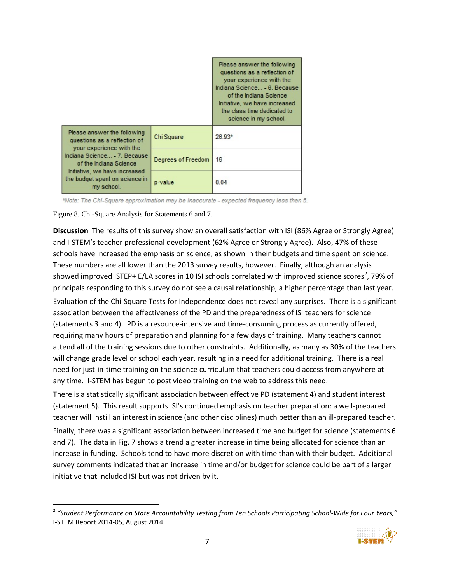

\*Note: The Chi-Square approximation may be inaccurate - expected frequency less than 5.

Figure 8. Chi-Square Analysis for Statements 6 and 7.

**Discussion** The results of this survey show an overall satisfaction with ISI (86% Agree or Strongly Agree) and I-STEM's teacher professional development (62% Agree or Strongly Agree). Also, 47% of these schools have increased the emphasis on science, as shown in their budgets and time spent on science. These numbers are all lower than the 2013 survey results, however. Finally, although an analysis showed improved ISTEP+ E/LA scores in 10 ISI schools correlated with improved science scores<sup>[2](#page-8-0)</sup>, 79% of principals responding to this survey do not see a causal relationship, a higher percentage than last year.

Evaluation of the Chi-Square Tests for Independence does not reveal any surprises. There is a significant association between the effectiveness of the PD and the preparedness of ISI teachers for science (statements 3 and 4). PD is a resource-intensive and time-consuming process as currently offered, requiring many hours of preparation and planning for a few days of training. Many teachers cannot attend all of the training sessions due to other constraints. Additionally, as many as 30% of the teachers will change grade level or school each year, resulting in a need for additional training. There is a real need for just-in-time training on the science curriculum that teachers could access from anywhere at any time. I-STEM has begun to post video training on the web to address this need.

There is a statistically significant association between effective PD (statement 4) and student interest (statement 5). This result supports ISI's continued emphasis on teacher preparation: a well-prepared teacher will instill an interest in science (and other disciplines) much better than an ill-prepared teacher.

Finally, there was a significant association between increased time and budget for science (statements 6 and 7). The data in Fig. 7 shows a trend a greater increase in time being allocated for science than an increase in funding. Schools tend to have more discretion with time than with their budget. Additional survey comments indicated that an increase in time and/or budget for science could be part of a larger initiative that included ISI but was not driven by it.

<span id="page-8-0"></span> <sup>2</sup> *"Student Performance on State Accountability Testing from Ten Schools Participating School-Wide for Four Years,"* I-STEM Report 2014-05, August 2014.

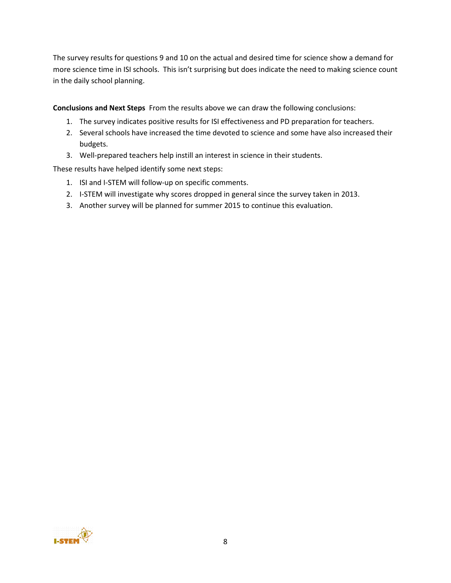The survey results for questions 9 and 10 on the actual and desired time for science show a demand for more science time in ISI schools. This isn't surprising but does indicate the need to making science count in the daily school planning.

**Conclusions and Next Steps** From the results above we can draw the following conclusions:

- 1. The survey indicates positive results for ISI effectiveness and PD preparation for teachers.
- 2. Several schools have increased the time devoted to science and some have also increased their budgets.
- 3. Well-prepared teachers help instill an interest in science in their students.

These results have helped identify some next steps:

- 1. ISI and I-STEM will follow-up on specific comments.
- 2. I-STEM will investigate why scores dropped in general since the survey taken in 2013.
- 3. Another survey will be planned for summer 2015 to continue this evaluation.

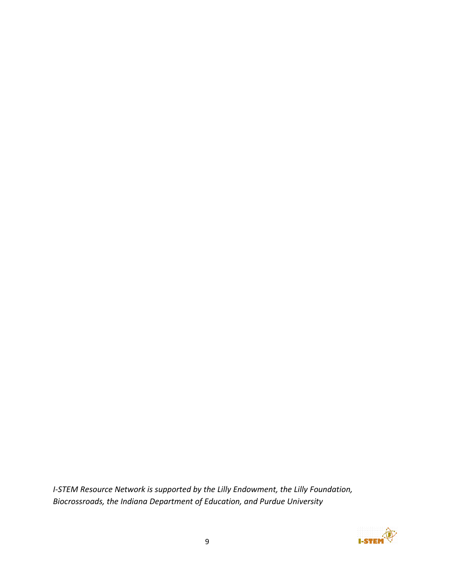*I-STEM Resource Network is supported by the Lilly Endowment, the Lilly Foundation, Biocrossroads, the Indiana Department of Education, and Purdue University*